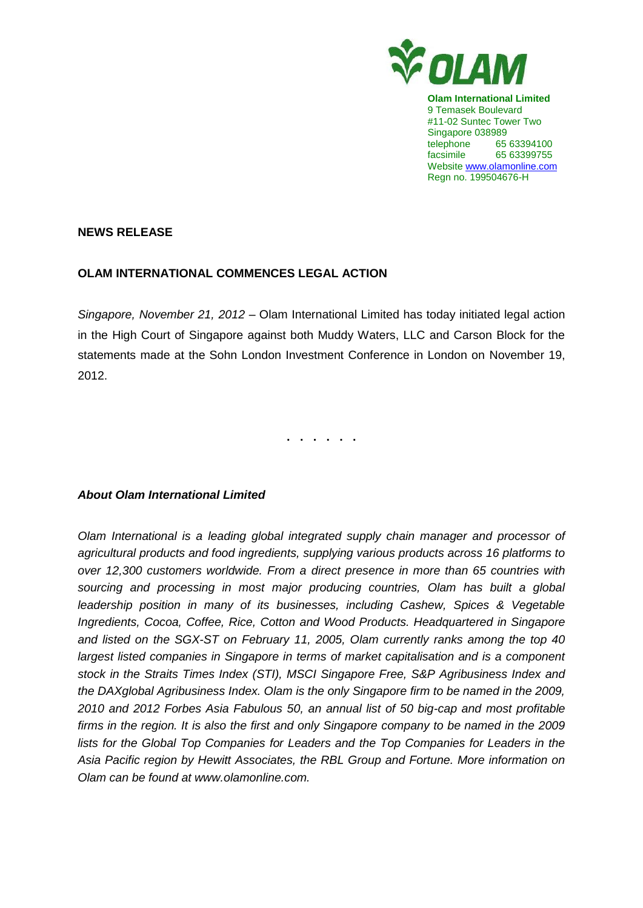

**Olam International Limited** 9 Temasek Boulevard #11-02 Suntec Tower Two Singapore 038989 telephone 65 63394100 facsimile 65 63399755 Website www.olamonline.com Regn no. 199504676-H

## **NEWS RELEASE**

## **OLAM INTERNATIONAL COMMENCES LEGAL ACTION**

*Singapore, November 21, 2012 –* Olam International Limited has today initiated legal action in the High Court of Singapore against both Muddy Waters, LLC and Carson Block for the statements made at the Sohn London Investment Conference in London on November 19, 2012.

**. . . . . .**

## *About Olam International Limited*

*Olam International is a leading global integrated supply chain manager and processor of agricultural products and food ingredients, supplying various products across 16 platforms to over 12,300 customers worldwide. From a direct presence in more than 65 countries with sourcing and processing in most major producing countries, Olam has built a global leadership position in many of its businesses, including Cashew, Spices & Vegetable Ingredients, Cocoa, Coffee, Rice, Cotton and Wood Products. Headquartered in Singapore and listed on the SGX-ST on February 11, 2005, Olam currently ranks among the top 40 largest listed companies in Singapore in terms of market capitalisation and is a component stock in the Straits Times Index (STI), MSCI Singapore Free, S&P Agribusiness Index and the DAXglobal Agribusiness Index. Olam is the only Singapore firm to be named in the 2009, 2010 and 2012 Forbes Asia Fabulous 50, an annual list of 50 big-cap and most profitable firms in the region. It is also the first and only Singapore company to be named in the 2009 lists for the Global Top Companies for Leaders and the Top Companies for Leaders in the Asia Pacific region by Hewitt Associates, the RBL Group and Fortune. More information on Olam can be found at www.olamonline.com.*